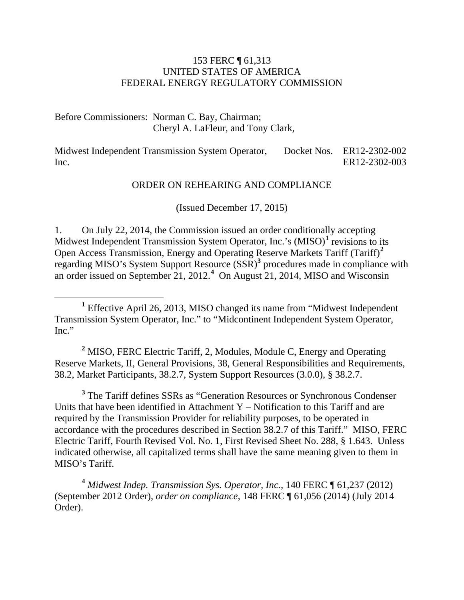#### 153 FERC ¶ 61,313 UNITED STATES OF AMERICA FEDERAL ENERGY REGULATORY COMMISSION

Before Commissioners: Norman C. Bay, Chairman; Cheryl A. LaFleur, and Tony Clark,

Midwest Independent Transmission System Operator, Inc. Docket Nos. ER12-2302-002 ER12-2302-003

#### ORDER ON REHEARING AND COMPLIANCE

(Issued December 17, 2015)

1. On July 22, 2014, the Commission issued an order conditionally accepting Midwest Independent Transmission System Operator, Inc.'s (MISO)<sup>[1](#page-0-0)</sup> revisions to its Open Access Transmission, Energy and Operating Reserve Markets Tariff (Tariff)**[2](#page-0-1)** regarding MISO's System Support Resource (SSR)**[3](#page-0-2)** procedures made in compliance with an order issued on September 21, 2012. **[4](#page-0-3)** On August 21, 2014, MISO and Wisconsin

<span id="page-0-1"></span>**<sup>2</sup>** MISO, FERC Electric Tariff, 2, Modules, Module C, Energy and Operating Reserve Markets, II, General Provisions, 38, General Responsibilities and Requirements, 38.2, Market Participants, 38.2.7, System Support Resources (3.0.0), § 38.2.7.

<span id="page-0-2"></span>**<sup>3</sup>** The Tariff defines SSRs as "Generation Resources or Synchronous Condenser Units that have been identified in Attachment  $Y$  – Notification to this Tariff and are required by the Transmission Provider for reliability purposes, to be operated in accordance with the procedures described in Section 38.2.7 of this Tariff." MISO, FERC Electric Tariff, Fourth Revised Vol. No. 1, First Revised Sheet No. 288, § 1.643. Unless indicated otherwise, all capitalized terms shall have the same meaning given to them in MISO's Tariff.

<span id="page-0-3"></span>**<sup>4</sup>** *Midwest Indep. Transmission Sys. Operator, Inc.*, 140 FERC ¶ 61,237 (2012) (September 2012 Order), *order on compliance*, 148 FERC ¶ 61,056 (2014) (July 2014 Order).

<span id="page-0-0"></span>**<sup>1</sup>** Effective April 26, 2013, MISO changed its name from "Midwest Independent Transmission System Operator, Inc." to "Midcontinent Independent System Operator, Inc."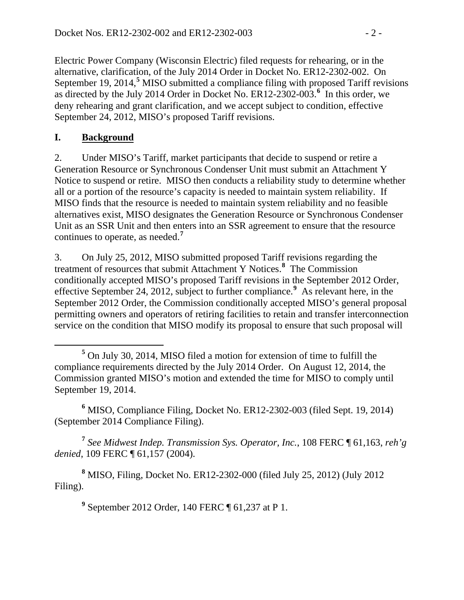Electric Power Company (Wisconsin Electric) filed requests for rehearing, or in the alternative, clarification, of the July 2014 Order in Docket No. ER12-2302-002. On September 19, 2014,<sup>[5](#page-1-0)</sup> MISO submitted a compliance filing with proposed Tariff revisions as directed by the July 2014 Order in Docket No.  $ER12-2302-003$ .<sup>[6](#page-1-1)</sup> In this order, we deny rehearing and grant clarification, and we accept subject to condition, effective September 24, 2012, MISO's proposed Tariff revisions.

#### **I. Background**

2. Under MISO's Tariff, market participants that decide to suspend or retire a Generation Resource or Synchronous Condenser Unit must submit an Attachment Y Notice to suspend or retire. MISO then conducts a reliability study to determine whether all or a portion of the resource's capacity is needed to maintain system reliability. If MISO finds that the resource is needed to maintain system reliability and no feasible alternatives exist, MISO designates the Generation Resource or Synchronous Condenser Unit as an SSR Unit and then enters into an SSR agreement to ensure that the resource continues to operate, as needed. **[7](#page-1-2)**

3. On July 25, 2012, MISO submitted proposed Tariff revisions regarding the treatment of resources that submit Attachment Y Notices. **[8](#page-1-3)** The Commission conditionally accepted MISO's proposed Tariff revisions in the September 2012 Order, effective September 24, 2012, subject to further compliance.**[9](#page-1-4)** As relevant here, in the September 2012 Order, the Commission conditionally accepted MISO's general proposal permitting owners and operators of retiring facilities to retain and transfer interconnection service on the condition that MISO modify its proposal to ensure that such proposal will

<span id="page-1-1"></span>**<sup>6</sup>** MISO, Compliance Filing, Docket No. ER12-2302-003 (filed Sept. 19, 2014) (September 2014 Compliance Filing).

<span id="page-1-2"></span>**<sup>7</sup>** *See Midwest Indep. Transmission Sys. Operator, Inc.*, 108 FERC ¶ 61,163, *reh'g denied*, 109 FERC ¶ 61,157 (2004).

<span id="page-1-4"></span><span id="page-1-3"></span>**<sup>8</sup>** MISO, Filing, Docket No. ER12-2302-000 (filed July 25, 2012) (July 2012 Filing).

**<sup>9</sup>** September 2012 Order, 140 FERC ¶ 61,237 at P 1.

<span id="page-1-0"></span>**<sup>5</sup>** On July 30, 2014, MISO filed a motion for extension of time to fulfill the compliance requirements directed by the July 2014 Order. On August 12, 2014, the Commission granted MISO's motion and extended the time for MISO to comply until September 19, 2014.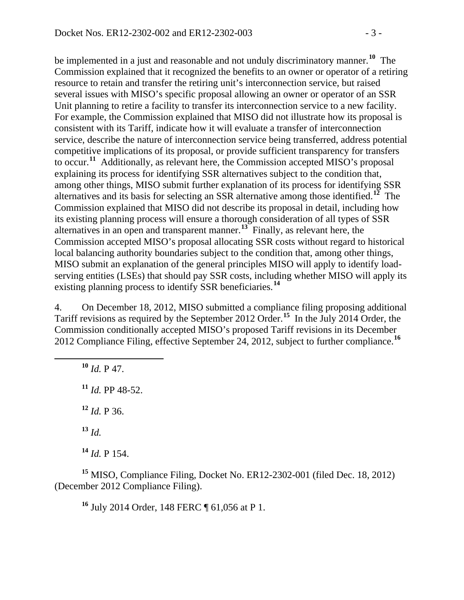be implemented in a just and reasonable and not unduly discriminatory manner. **[10](#page-2-0)** The Commission explained that it recognized the benefits to an owner or operator of a retiring resource to retain and transfer the retiring unit's interconnection service, but raised several issues with MISO's specific proposal allowing an owner or operator of an SSR Unit planning to retire a facility to transfer its interconnection service to a new facility. For example, the Commission explained that MISO did not illustrate how its proposal is consistent with its Tariff, indicate how it will evaluate a transfer of interconnection service, describe the nature of interconnection service being transferred, address potential competitive implications of its proposal, or provide sufficient transparency for transfers to occur. **[11](#page-2-1)** Additionally, as relevant here, the Commission accepted MISO's proposal explaining its process for identifying SSR alternatives subject to the condition that, among other things, MISO submit further explanation of its process for identifying SSR alternatives and its basis for selecting an SSR alternative among those identified.**[12](#page-2-2)** The Commission explained that MISO did not describe its proposal in detail, including how its existing planning process will ensure a thorough consideration of all types of SSR alternatives in an open and transparent manner.**[13](#page-2-3)** Finally, as relevant here, the Commission accepted MISO's proposal allocating SSR costs without regard to historical local balancing authority boundaries subject to the condition that, among other things, MISO submit an explanation of the general principles MISO will apply to identify loadserving entities (LSEs) that should pay SSR costs, including whether MISO will apply its existing planning process to identify SSR beneficiaries.**[14](#page-2-4)**

4. On December 18, 2012, MISO submitted a compliance filing proposing additional Tariff revisions as required by the September 2012 Order.**[15](#page-2-5)** In the July 2014 Order, the Commission conditionally accepted MISO's proposed Tariff revisions in its December 2012 Compliance Filing, effective September 24, 2012, subject to further compliance. **[16](#page-2-6)**

<span id="page-2-1"></span><span id="page-2-0"></span> *Id.* P 47. *Id.* PP 48-52. *Id.* P 36. **<sup>13</sup>** *Id. Id.* P 154.

<span id="page-2-6"></span><span id="page-2-5"></span><span id="page-2-4"></span><span id="page-2-3"></span><span id="page-2-2"></span>**<sup>15</sup>** MISO, Compliance Filing, Docket No. ER12-2302-001 (filed Dec. 18, 2012) (December 2012 Compliance Filing).

**<sup>16</sup>** July 2014 Order, 148 FERC ¶ 61,056 at P 1.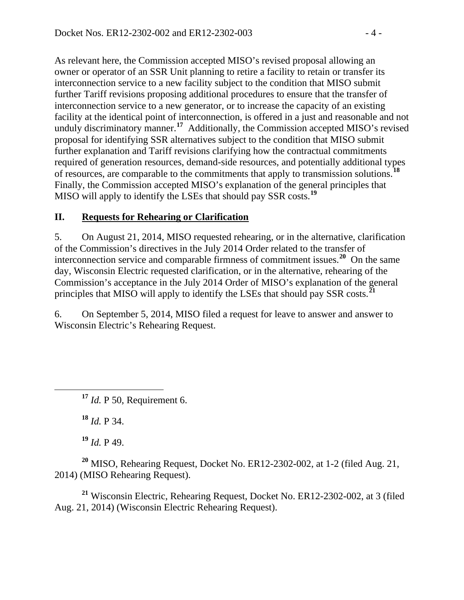As relevant here, the Commission accepted MISO's revised proposal allowing an owner or operator of an SSR Unit planning to retire a facility to retain or transfer its interconnection service to a new facility subject to the condition that MISO submit further Tariff revisions proposing additional procedures to ensure that the transfer of interconnection service to a new generator, or to increase the capacity of an existing facility at the identical point of interconnection, is offered in a just and reasonable and not unduly discriminatory manner.<sup>[17](#page-3-0)</sup> Additionally, the Commission accepted MISO's revised proposal for identifying SSR alternatives subject to the condition that MISO submit further explanation and Tariff revisions clarifying how the contractual commitments required of generation resources, demand-side resources, and potentially additional types of resources, are comparable to the commitments that apply to transmission solutions.**[18](#page-3-1)** Finally, the Commission accepted MISO's explanation of the general principles that MISO will apply to identify the LSEs that should pay SSR costs.**[19](#page-3-2)**

### **II. Requests for Rehearing or Clarification**

5. On August 21, 2014, MISO requested rehearing, or in the alternative, clarification of the Commission's directives in the July 2014 Order related to the transfer of interconnection service and comparable firmness of commitment issues.<sup>[20](#page-3-3)</sup> On the same day, Wisconsin Electric requested clarification, or in the alternative, rehearing of the Commission's acceptance in the July 2014 Order of MISO's explanation of the general principles that MISO will apply to identify the LSEs that should pay SSR costs.**[21](#page-3-4)**

6. On September 5, 2014, MISO filed a request for leave to answer and answer to Wisconsin Electric's Rehearing Request.

<span id="page-3-0"></span>**<sup>17</sup>** *Id.* P 50, Requirement 6.

**<sup>18</sup>** *Id.* P 34.

**<sup>19</sup>** *Id.* P 49.

<span id="page-3-3"></span><span id="page-3-2"></span><span id="page-3-1"></span>**<sup>20</sup>** MISO, Rehearing Request, Docket No. ER12-2302-002, at 1-2 (filed Aug. 21, 2014) (MISO Rehearing Request).

<span id="page-3-4"></span>**<sup>21</sup>** Wisconsin Electric, Rehearing Request, Docket No. ER12-2302-002, at 3 (filed Aug. 21, 2014) (Wisconsin Electric Rehearing Request).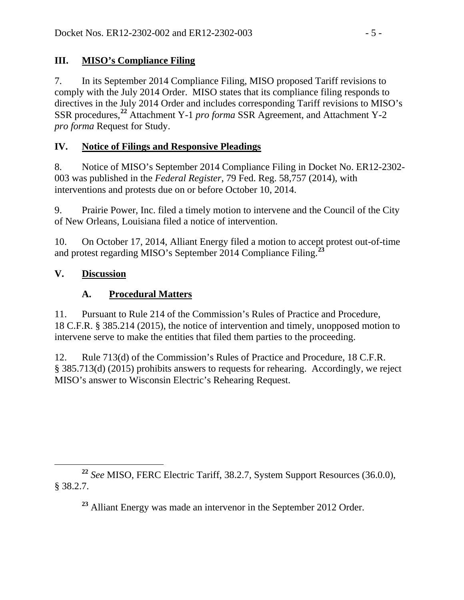# **III. MISO's Compliance Filing**

7. In its September 2014 Compliance Filing, MISO proposed Tariff revisions to comply with the July 2014 Order. MISO states that its compliance filing responds to directives in the July 2014 Order and includes corresponding Tariff revisions to MISO's SSR procedures,**[22](#page-4-0)** Attachment Y-1 *pro forma* SSR Agreement, and Attachment Y-2 *pro forma* Request for Study.

# **IV. Notice of Filings and Responsive Pleadings**

8. Notice of MISO's September 2014 Compliance Filing in Docket No. ER12-2302- 003 was published in the *Federal Register*, 79 Fed. Reg. 58,757 (2014), with interventions and protests due on or before October 10, 2014.

9. Prairie Power, Inc. filed a timely motion to intervene and the Council of the City of New Orleans, Louisiana filed a notice of intervention.

10. On October 17, 2014, Alliant Energy filed a motion to accept protest out-of-time and protest regarding MISO's September 2014 Compliance Filing. **[23](#page-4-1)**

# **V. Discussion**

# **A. Procedural Matters**

11. Pursuant to Rule 214 of the Commission's Rules of Practice and Procedure, 18 C.F.R. § 385.214 (2015), the notice of intervention and timely, unopposed motion to intervene serve to make the entities that filed them parties to the proceeding.

12. Rule 713(d) of the Commission's Rules of Practice and Procedure, 18 C.F.R. § 385.713(d) (2015) prohibits answers to requests for rehearing. Accordingly, we reject MISO's answer to Wisconsin Electric's Rehearing Request.

<span id="page-4-1"></span><span id="page-4-0"></span>**<sup>22</sup>** *See* MISO, FERC Electric Tariff, 38.2.7, System Support Resources (36.0.0), § 38.2.7.

**<sup>23</sup>** Alliant Energy was made an intervenor in the September 2012 Order.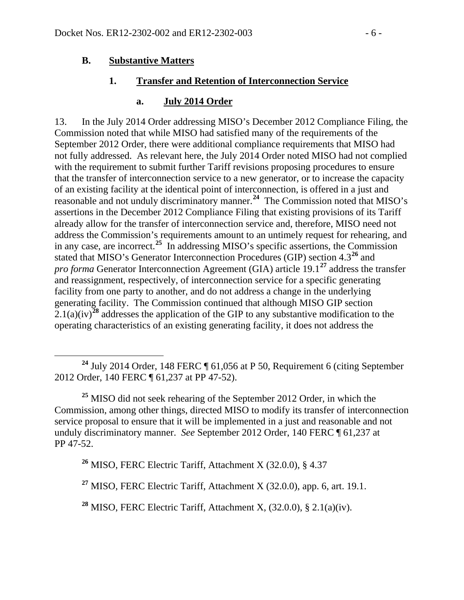#### **B. Substantive Matters**

#### **1. Transfer and Retention of Interconnection Service**

#### **a. July 2014 Order**

13. In the July 2014 Order addressing MISO's December 2012 Compliance Filing, the Commission noted that while MISO had satisfied many of the requirements of the September 2012 Order, there were additional compliance requirements that MISO had not fully addressed. As relevant here, the July 2014 Order noted MISO had not complied with the requirement to submit further Tariff revisions proposing procedures to ensure that the transfer of interconnection service to a new generator, or to increase the capacity of an existing facility at the identical point of interconnection, is offered in a just and reasonable and not unduly discriminatory manner.**[24](#page-5-0)** The Commission noted that MISO's assertions in the December 2012 Compliance Filing that existing provisions of its Tariff already allow for the transfer of interconnection service and, therefore, MISO need not address the Commission's requirements amount to an untimely request for rehearing, and in any case, are incorrect.**[25](#page-5-1)** In addressing MISO's specific assertions, the Commission stated that MISO's Generator Interconnection Procedures (GIP) section 4.3**[26](#page-5-2)** and *pro forma* Generator Interconnection Agreement (GIA) article 19.1**[27](#page-5-3)** address the transfer and reassignment, respectively, of interconnection service for a specific generating facility from one party to another, and do not address a change in the underlying generating facility. The Commission continued that although MISO GIP section  $2.1(a)(iv)^{28}$  $2.1(a)(iv)^{28}$  $2.1(a)(iv)^{28}$  addresses the application of the GIP to any substantive modification to the operating characteristics of an existing generating facility, it does not address the

<span id="page-5-1"></span>**<sup>25</sup>** MISO did not seek rehearing of the September 2012 Order, in which the Commission, among other things, directed MISO to modify its transfer of interconnection service proposal to ensure that it will be implemented in a just and reasonable and not unduly discriminatory manner. *See* September 2012 Order, 140 FERC ¶ 61,237 at PP 47-52.

<span id="page-5-2"></span>**<sup>26</sup>** MISO, FERC Electric Tariff, Attachment X (32.0.0), § 4.37

<span id="page-5-3"></span>**<sup>27</sup>** MISO, FERC Electric Tariff, Attachment X (32.0.0), app. 6, art. 19.1.

<span id="page-5-4"></span>**<sup>28</sup>** MISO, FERC Electric Tariff, Attachment X, (32.0.0), § 2.1(a)(iv).

<span id="page-5-0"></span>**<sup>24</sup>** July 2014 Order, 148 FERC ¶ 61,056 at P 50, Requirement 6 (citing September 2012 Order, 140 FERC ¶ 61,237 at PP 47-52).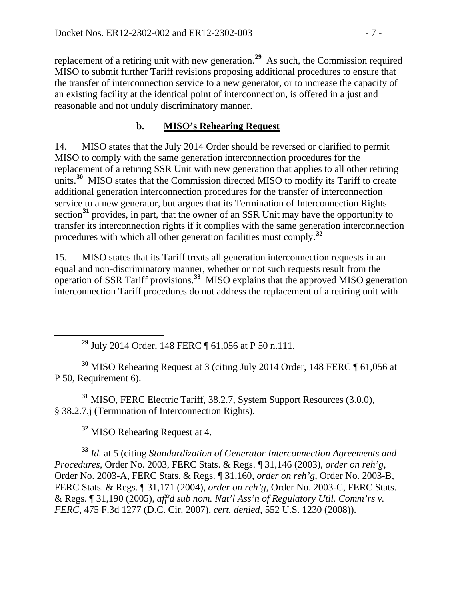replacement of a retiring unit with new generation. **[29](#page-6-0)** As such, the Commission required MISO to submit further Tariff revisions proposing additional procedures to ensure that the transfer of interconnection service to a new generator, or to increase the capacity of an existing facility at the identical point of interconnection, is offered in a just and reasonable and not unduly discriminatory manner.

# **b. MISO's Rehearing Request**

14. MISO states that the July 2014 Order should be reversed or clarified to permit MISO to comply with the same generation interconnection procedures for the replacement of a retiring SSR Unit with new generation that applies to all other retiring units.<sup>[30](#page-6-1)</sup> MISO states that the Commission directed MISO to modify its Tariff to create additional generation interconnection procedures for the transfer of interconnection service to a new generator, but argues that its Termination of Interconnection Rights section<sup>[31](#page-6-2)</sup> provides, in part, that the owner of an SSR Unit may have the opportunity to transfer its interconnection rights if it complies with the same generation interconnection procedures with which all other generation facilities must comply.**[32](#page-6-3)**

15. MISO states that its Tariff treats all generation interconnection requests in an equal and non-discriminatory manner, whether or not such requests result from the operation of SSR Tariff provisions. **[33](#page-6-4)** MISO explains that the approved MISO generation interconnection Tariff procedures do not address the replacement of a retiring unit with

**<sup>29</sup>** July 2014 Order, 148 FERC ¶ 61,056 at P 50 n.111.

<span id="page-6-1"></span><span id="page-6-0"></span>**<sup>30</sup>** MISO Rehearing Request at 3 (citing July 2014 Order, 148 FERC ¶ 61,056 at P 50, Requirement 6).

<span id="page-6-2"></span>**<sup>31</sup>** MISO, FERC Electric Tariff, 38.2.7, System Support Resources (3.0.0), § 38.2.7.j (Termination of Interconnection Rights).

**<sup>32</sup>** MISO Rehearing Request at 4.

<span id="page-6-4"></span><span id="page-6-3"></span>**<sup>33</sup>** *Id.* at 5 (citing *Standardization of Generator Interconnection Agreements and Procedures*, Order No. 2003, FERC Stats. & Regs. ¶ 31,146 (2003), *order on reh'g*, Order No. 2003-A, FERC Stats. & Regs. ¶ 31,160, *order on reh'g*, Order No. 2003-B, FERC Stats. & Regs. ¶ 31,171 (2004), *order on reh'g*, Order No. 2003-C, FERC Stats. & Regs. ¶ 31,190 (2005), *aff'd sub nom. Nat'l Ass'n of Regulatory Util. Comm'rs v. FERC*, 475 F.3d 1277 (D.C. Cir. 2007), *cert. denied*, 552 U.S. 1230 (2008)).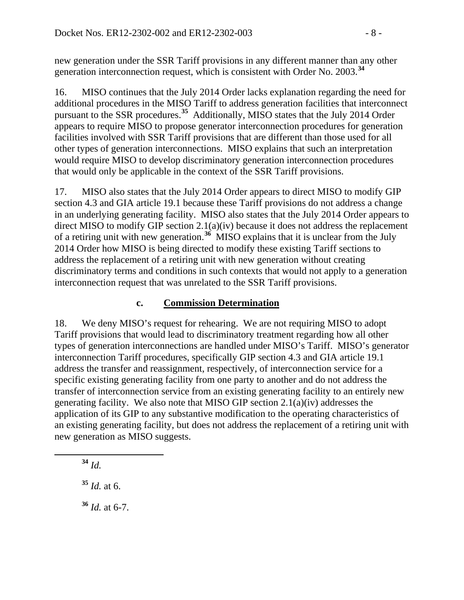new generation under the SSR Tariff provisions in any different manner than any other generation interconnection request, which is consistent with Order No. 2003.**[34](#page-7-0)**

16. MISO continues that the July 2014 Order lacks explanation regarding the need for additional procedures in the MISO Tariff to address generation facilities that interconnect pursuant to the SSR procedures. **[35](#page-7-1)** Additionally, MISO states that the July 2014 Order appears to require MISO to propose generator interconnection procedures for generation facilities involved with SSR Tariff provisions that are different than those used for all other types of generation interconnections. MISO explains that such an interpretation would require MISO to develop discriminatory generation interconnection procedures that would only be applicable in the context of the SSR Tariff provisions.

17. MISO also states that the July 2014 Order appears to direct MISO to modify GIP section 4.3 and GIA article 19.1 because these Tariff provisions do not address a change in an underlying generating facility. MISO also states that the July 2014 Order appears to direct MISO to modify GIP section 2.1(a)(iv) because it does not address the replacement of a retiring unit with new generation.**[36](#page-7-2)** MISO explains that it is unclear from the July 2014 Order how MISO is being directed to modify these existing Tariff sections to address the replacement of a retiring unit with new generation without creating discriminatory terms and conditions in such contexts that would not apply to a generation interconnection request that was unrelated to the SSR Tariff provisions.

#### **c. Commission Determination**

18. We deny MISO's request for rehearing. We are not requiring MISO to adopt Tariff provisions that would lead to discriminatory treatment regarding how all other types of generation interconnections are handled under MISO's Tariff. MISO's generator interconnection Tariff procedures, specifically GIP section 4.3 and GIA article 19.1 address the transfer and reassignment, respectively, of interconnection service for a specific existing generating facility from one party to another and do not address the transfer of interconnection service from an existing generating facility to an entirely new generating facility. We also note that MISO GIP section 2.1(a)(iv) addresses the application of its GIP to any substantive modification to the operating characteristics of an existing generating facility, but does not address the replacement of a retiring unit with new generation as MISO suggests.

<span id="page-7-0"></span>**<sup>34</sup>** *Id.*

<span id="page-7-2"></span><span id="page-7-1"></span>**<sup>35</sup>** *Id.* at 6. **<sup>36</sup>** *Id.* at 6-7.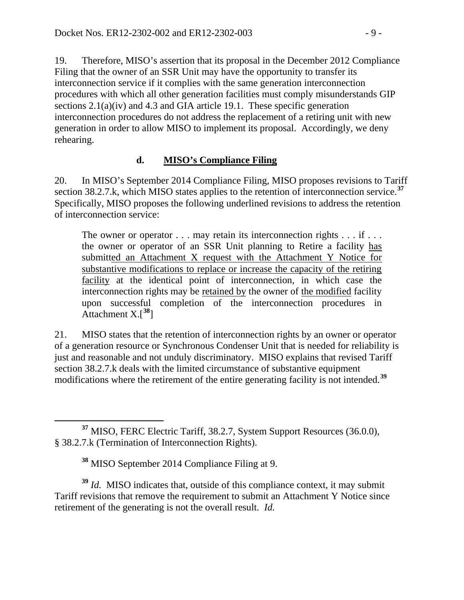19. Therefore, MISO's assertion that its proposal in the December 2012 Compliance Filing that the owner of an SSR Unit may have the opportunity to transfer its interconnection service if it complies with the same generation interconnection procedures with which all other generation facilities must comply misunderstands GIP sections 2.1(a)(iv) and 4.3 and GIA article 19.1. These specific generation interconnection procedures do not address the replacement of a retiring unit with new generation in order to allow MISO to implement its proposal. Accordingly, we deny rehearing.

### **d. MISO's Compliance Filing**

20. In MISO's September 2014 Compliance Filing, MISO proposes revisions to Tariff section 38.2.7.k, which MISO states applies to the retention of interconnection service. **[37](#page-8-0)** Specifically, MISO proposes the following underlined revisions to address the retention of interconnection service:

The owner or operator  $\dots$  may retain its interconnection rights  $\dots$  if  $\dots$ the owner or operator of an SSR Unit planning to Retire a facility has submitted an Attachment X request with the Attachment Y Notice for substantive modifications to replace or increase the capacity of the retiring facility at the identical point of interconnection, in which case the interconnection rights may be retained by the owner of the modified facility upon successful completion of the interconnection procedures in Attachment X.[**[38](#page-8-1)**]

21. MISO states that the retention of interconnection rights by an owner or operator of a generation resource or Synchronous Condenser Unit that is needed for reliability is just and reasonable and not unduly discriminatory. MISO explains that revised Tariff section 38.2.7.k deals with the limited circumstance of substantive equipment modifications where the retirement of the entire generating facility is not intended.**[39](#page-8-2)**

**<sup>38</sup>** MISO September 2014 Compliance Filing at 9.

<span id="page-8-2"></span><span id="page-8-1"></span>**<sup>39</sup>** *Id.* MISO indicates that, outside of this compliance context, it may submit Tariff revisions that remove the requirement to submit an Attachment Y Notice since retirement of the generating is not the overall result. *Id.*

<span id="page-8-0"></span>**<sup>37</sup>** MISO, FERC Electric Tariff, 38.2.7, System Support Resources (36.0.0), § 38.2.7.k (Termination of Interconnection Rights).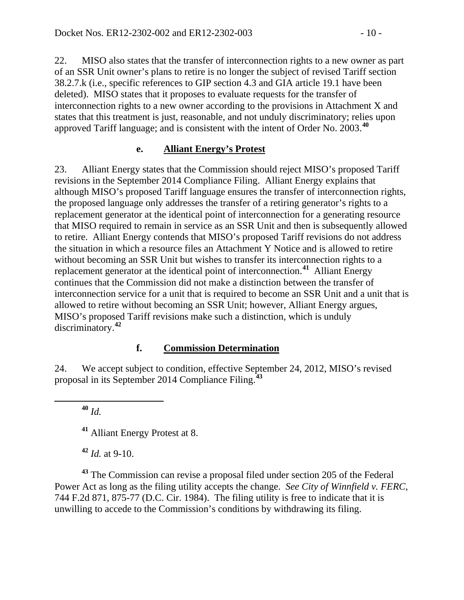22. MISO also states that the transfer of interconnection rights to a new owner as part of an SSR Unit owner's plans to retire is no longer the subject of revised Tariff section 38.2.7.k (i.e., specific references to GIP section 4.3 and GIA article 19.1 have been deleted). MISO states that it proposes to evaluate requests for the transfer of interconnection rights to a new owner according to the provisions in Attachment X and states that this treatment is just, reasonable, and not unduly discriminatory; relies upon approved Tariff language; and is consistent with the intent of Order No. 2003.**[40](#page-9-0)**

#### **e. Alliant Energy's Protest**

23. Alliant Energy states that the Commission should reject MISO's proposed Tariff revisions in the September 2014 Compliance Filing. Alliant Energy explains that although MISO's proposed Tariff language ensures the transfer of interconnection rights, the proposed language only addresses the transfer of a retiring generator's rights to a replacement generator at the identical point of interconnection for a generating resource that MISO required to remain in service as an SSR Unit and then is subsequently allowed to retire. Alliant Energy contends that MISO's proposed Tariff revisions do not address the situation in which a resource files an Attachment Y Notice and is allowed to retire without becoming an SSR Unit but wishes to transfer its interconnection rights to a replacement generator at the identical point of interconnection.**[41](#page-9-1)** Alliant Energy continues that the Commission did not make a distinction between the transfer of interconnection service for a unit that is required to become an SSR Unit and a unit that is allowed to retire without becoming an SSR Unit; however, Alliant Energy argues, MISO's proposed Tariff revisions make such a distinction, which is unduly discriminatory.**[42](#page-9-2)**

#### **f. Commission Determination**

<span id="page-9-0"></span>24. We accept subject to condition, effective September 24, 2012, MISO's revised proposal in its September 2014 Compliance Filing. **[43](#page-9-3)**

**<sup>40</sup>** *Id.*

**<sup>41</sup>** Alliant Energy Protest at 8.

**<sup>42</sup>** *Id.* at 9-10.

<span id="page-9-3"></span><span id="page-9-2"></span><span id="page-9-1"></span>**<sup>43</sup>** The Commission can revise a proposal filed under section 205 of the Federal Power Act as long as the filing utility accepts the change. *See City of Winnfield v. FERC*, 744 F.2d 871, 875-77 (D.C. Cir. 1984). The filing utility is free to indicate that it is unwilling to accede to the Commission's conditions by withdrawing its filing.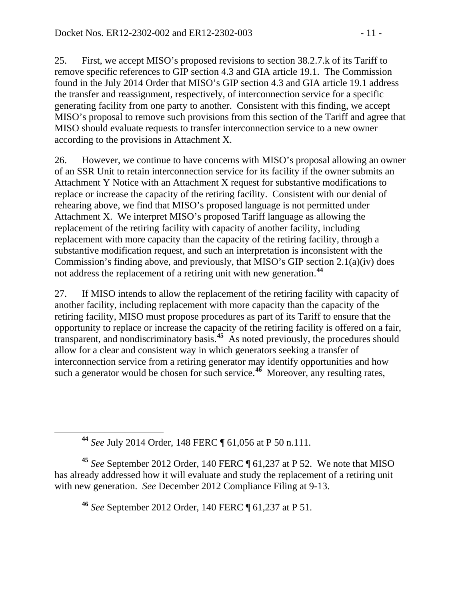25. First, we accept MISO's proposed revisions to section 38.2.7.k of its Tariff to remove specific references to GIP section 4.3 and GIA article 19.1. The Commission found in the July 2014 Order that MISO's GIP section 4.3 and GIA article 19.1 address the transfer and reassignment, respectively, of interconnection service for a specific generating facility from one party to another. Consistent with this finding, we accept MISO's proposal to remove such provisions from this section of the Tariff and agree that MISO should evaluate requests to transfer interconnection service to a new owner according to the provisions in Attachment X.

26. However, we continue to have concerns with MISO's proposal allowing an owner of an SSR Unit to retain interconnection service for its facility if the owner submits an Attachment Y Notice with an Attachment X request for substantive modifications to replace or increase the capacity of the retiring facility. Consistent with our denial of rehearing above, we find that MISO's proposed language is not permitted under Attachment X. We interpret MISO's proposed Tariff language as allowing the replacement of the retiring facility with capacity of another facility, including replacement with more capacity than the capacity of the retiring facility, through a substantive modification request, and such an interpretation is inconsistent with the Commission's finding above, and previously, that MISO's GIP section 2.1(a)(iv) does not address the replacement of a retiring unit with new generation. **[44](#page-10-0)**

27. If MISO intends to allow the replacement of the retiring facility with capacity of another facility, including replacement with more capacity than the capacity of the retiring facility, MISO must propose procedures as part of its Tariff to ensure that the opportunity to replace or increase the capacity of the retiring facility is offered on a fair, transparent, and nondiscriminatory basis. **[45](#page-10-1)** As noted previously, the procedures should allow for a clear and consistent way in which generators seeking a transfer of interconnection service from a retiring generator may identify opportunities and how such a generator would be chosen for such service.**[46](#page-10-2)** Moreover, any resulting rates,

**<sup>44</sup>** *See* July 2014 Order, 148 FERC ¶ 61,056 at P 50 n.111.

<span id="page-10-2"></span><span id="page-10-1"></span><span id="page-10-0"></span>**<sup>45</sup>** *See* September 2012 Order, 140 FERC ¶ 61,237 at P 52. We note that MISO has already addressed how it will evaluate and study the replacement of a retiring unit with new generation. *See* December 2012 Compliance Filing at 9-13.

**<sup>46</sup>** *See* September 2012 Order, 140 FERC ¶ 61,237 at P 51.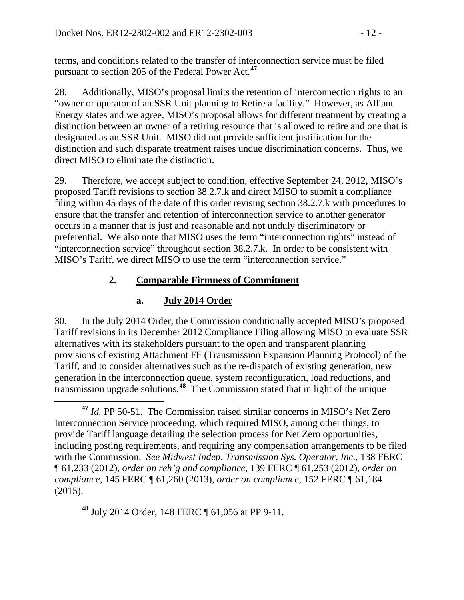terms, and conditions related to the transfer of interconnection service must be filed pursuant to section 205 of the Federal Power Act.**[47](#page-11-0)**

28. Additionally, MISO's proposal limits the retention of interconnection rights to an "owner or operator of an SSR Unit planning to Retire a facility." However, as Alliant Energy states and we agree, MISO's proposal allows for different treatment by creating a distinction between an owner of a retiring resource that is allowed to retire and one that is designated as an SSR Unit. MISO did not provide sufficient justification for the distinction and such disparate treatment raises undue discrimination concerns. Thus, we direct MISO to eliminate the distinction.

29. Therefore, we accept subject to condition, effective September 24, 2012, MISO's proposed Tariff revisions to section 38.2.7.k and direct MISO to submit a compliance filing within 45 days of the date of this order revising section 38.2.7.k with procedures to ensure that the transfer and retention of interconnection service to another generator occurs in a manner that is just and reasonable and not unduly discriminatory or preferential. We also note that MISO uses the term "interconnection rights" instead of "interconnection service" throughout section 38.2.7.k. In order to be consistent with MISO's Tariff, we direct MISO to use the term "interconnection service."

# **2. Comparable Firmness of Commitment**

# **a. July 2014 Order**

30. In the July 2014 Order, the Commission conditionally accepted MISO's proposed Tariff revisions in its December 2012 Compliance Filing allowing MISO to evaluate SSR alternatives with its stakeholders pursuant to the open and transparent planning provisions of existing Attachment FF (Transmission Expansion Planning Protocol) of the Tariff, and to consider alternatives such as the re-dispatch of existing generation, new generation in the interconnection queue, system reconfiguration, load reductions, and transmission upgrade solutions.**[48](#page-11-1)** The Commission stated that in light of the unique

<span id="page-11-1"></span>**<sup>48</sup>** July 2014 Order, 148 FERC ¶ 61,056 at PP 9-11.

<span id="page-11-0"></span>**<sup>47</sup>** *Id.* PP 50-51. The Commission raised similar concerns in MISO's Net Zero Interconnection Service proceeding, which required MISO, among other things, to provide Tariff language detailing the selection process for Net Zero opportunities, including posting requirements, and requiring any compensation arrangements to be filed with the Commission. *See Midwest Indep. Transmission Sys. Operator, Inc.*, 138 FERC ¶ 61,233 (2012), *order on reh'g and compliance*, 139 FERC ¶ 61,253 (2012), *order on compliance*, 145 FERC ¶ 61,260 (2013), *order on compliance*, 152 FERC ¶ 61,184 (2015).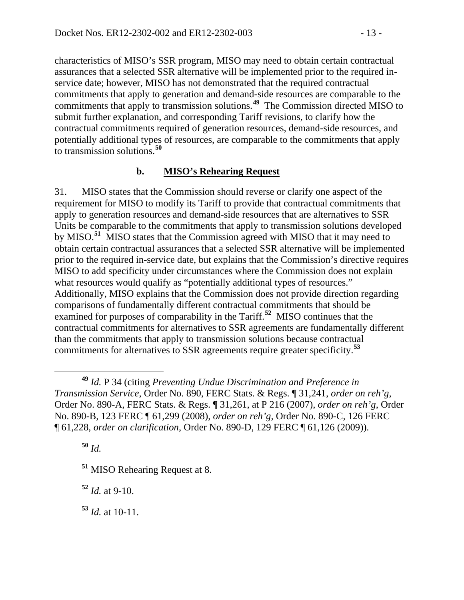characteristics of MISO's SSR program, MISO may need to obtain certain contractual assurances that a selected SSR alternative will be implemented prior to the required inservice date; however, MISO has not demonstrated that the required contractual commitments that apply to generation and demand-side resources are comparable to the commitments that apply to transmission solutions.**[49](#page-12-0)** The Commission directed MISO to submit further explanation, and corresponding Tariff revisions, to clarify how the contractual commitments required of generation resources, demand-side resources, and potentially additional types of resources, are comparable to the commitments that apply to transmission solutions.**[50](#page-12-1)**

#### **b. MISO's Rehearing Request**

31. MISO states that the Commission should reverse or clarify one aspect of the requirement for MISO to modify its Tariff to provide that contractual commitments that apply to generation resources and demand-side resources that are alternatives to SSR Units be comparable to the commitments that apply to transmission solutions developed by MISO.**[51](#page-12-2)** MISO states that the Commission agreed with MISO that it may need to obtain certain contractual assurances that a selected SSR alternative will be implemented prior to the required in-service date, but explains that the Commission's directive requires MISO to add specificity under circumstances where the Commission does not explain what resources would qualify as "potentially additional types of resources." Additionally, MISO explains that the Commission does not provide direction regarding comparisons of fundamentally different contractual commitments that should be examined for purposes of comparability in the Tariff.**[52](#page-12-3)** MISO continues that the contractual commitments for alternatives to SSR agreements are fundamentally different than the commitments that apply to transmission solutions because contractual commitments for alternatives to SSR agreements require greater specificity.**[53](#page-12-4)**

<span id="page-12-1"></span>**<sup>50</sup>** *Id.*

<span id="page-12-2"></span>**<sup>51</sup>** MISO Rehearing Request at 8.

<span id="page-12-3"></span>**<sup>52</sup>** *Id.* at 9-10.

<span id="page-12-4"></span>**<sup>53</sup>** *Id.* at 10-11.

<span id="page-12-0"></span>**<sup>49</sup>** *Id.* P 34 (citing *Preventing Undue Discrimination and Preference in Transmission Service*, Order No. 890, FERC Stats. & Regs. ¶ 31,241, *order on reh'g*, Order No. 890-A, FERC Stats. & Regs. ¶ 31,261, at P 216 (2007), *order on reh'g*, Order No. 890-B, 123 FERC ¶ 61,299 (2008), *order on reh'g*, Order No. 890-C, 126 FERC ¶ 61,228, *order on clarification*, Order No. 890-D, 129 FERC ¶ 61,126 (2009)).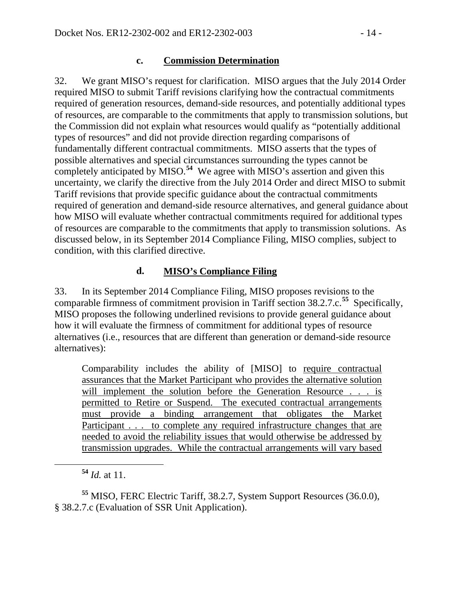#### **c. Commission Determination**

32. We grant MISO's request for clarification. MISO argues that the July 2014 Order required MISO to submit Tariff revisions clarifying how the contractual commitments required of generation resources, demand-side resources, and potentially additional types of resources, are comparable to the commitments that apply to transmission solutions, but the Commission did not explain what resources would qualify as "potentially additional types of resources" and did not provide direction regarding comparisons of fundamentally different contractual commitments. MISO asserts that the types of possible alternatives and special circumstances surrounding the types cannot be completely anticipated by MISO.**[54](#page-13-0)** We agree with MISO's assertion and given this uncertainty, we clarify the directive from the July 2014 Order and direct MISO to submit Tariff revisions that provide specific guidance about the contractual commitments required of generation and demand-side resource alternatives, and general guidance about how MISO will evaluate whether contractual commitments required for additional types of resources are comparable to the commitments that apply to transmission solutions. As discussed below, in its September 2014 Compliance Filing, MISO complies, subject to condition, with this clarified directive.

### **d. MISO's Compliance Filing**

33. In its September 2014 Compliance Filing, MISO proposes revisions to the comparable firmness of commitment provision in Tariff section 38.2.7.c.**[55](#page-13-1)** Specifically, MISO proposes the following underlined revisions to provide general guidance about how it will evaluate the firmness of commitment for additional types of resource alternatives (i.e., resources that are different than generation or demand-side resource alternatives):

Comparability includes the ability of [MISO] to require contractual assurances that the Market Participant who provides the alternative solution will implement the solution before the Generation Resource . . . is permitted to Retire or Suspend. The executed contractual arrangements must provide a binding arrangement that obligates the Market Participant . . . to complete any required infrastructure changes that are needed to avoid the reliability issues that would otherwise be addressed by transmission upgrades. While the contractual arrangements will vary based

<span id="page-13-1"></span><span id="page-13-0"></span>**<sup>55</sup>** MISO, FERC Electric Tariff, 38.2.7, System Support Resources (36.0.0), § 38.2.7.c (Evaluation of SSR Unit Application).

**<sup>54</sup>** *Id.* at 11.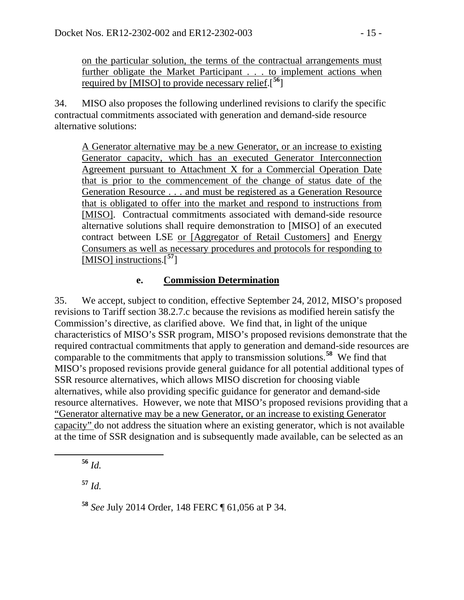on the particular solution, the terms of the contractual arrangements must further obligate the Market Participant . . . to implement actions when required by [MISO] to provide necessary relief.[**[56](#page-14-0)**]

34. MISO also proposes the following underlined revisions to clarify the specific contractual commitments associated with generation and demand-side resource alternative solutions:

A Generator alternative may be a new Generator, or an increase to existing Generator capacity, which has an executed Generator Interconnection Agreement pursuant to Attachment X for a Commercial Operation Date that is prior to the commencement of the change of status date of the Generation Resource . . . and must be registered as a Generation Resource that is obligated to offer into the market and respond to instructions from [MISO]. Contractual commitments associated with demand-side resource alternative solutions shall require demonstration to [MISO] of an executed contract between LSE or [Aggregator of Retail Customers] and Energy Consumers as well as necessary procedures and protocols for responding to [MISO] instructions.[**[57](#page-14-1)**]

### **e. Commission Determination**

35. We accept, subject to condition, effective September 24, 2012, MISO's proposed revisions to Tariff section 38.2.7.c because the revisions as modified herein satisfy the Commission's directive, as clarified above. We find that, in light of the unique characteristics of MISO's SSR program, MISO's proposed revisions demonstrate that the required contractual commitments that apply to generation and demand-side resources are comparable to the commitments that apply to transmission solutions.**[58](#page-14-2)** We find that MISO's proposed revisions provide general guidance for all potential additional types of SSR resource alternatives, which allows MISO discretion for choosing viable alternatives, while also providing specific guidance for generator and demand-side resource alternatives. However, we note that MISO's proposed revisions providing that a "Generator alternative may be a new Generator, or an increase to existing Generator capacity" do not address the situation where an existing generator, which is not available at the time of SSR designation and is subsequently made available, can be selected as an

<span id="page-14-0"></span>**<sup>56</sup>** *Id.*

<span id="page-14-1"></span>**<sup>57</sup>** *Id.*

<span id="page-14-2"></span>**<sup>58</sup>** *See* July 2014 Order, 148 FERC ¶ 61,056 at P 34.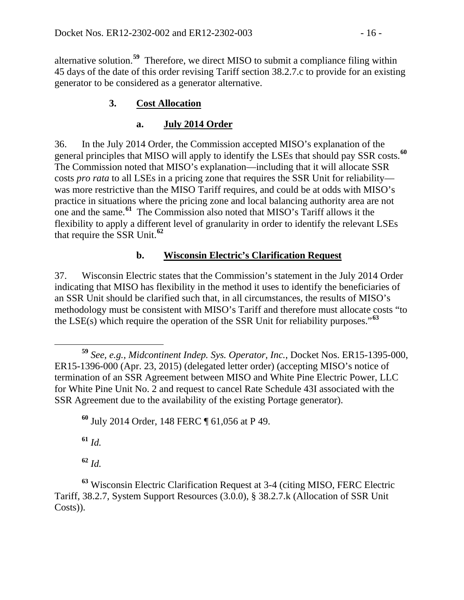alternative solution. **[59](#page-15-0)** Therefore, we direct MISO to submit a compliance filing within 45 days of the date of this order revising Tariff section 38.2.7.c to provide for an existing generator to be considered as a generator alternative.

## **3. Cost Allocation**

## **a. July 2014 Order**

36. In the July 2014 Order, the Commission accepted MISO's explanation of the general principles that MISO will apply to identify the LSEs that should pay SSR costs.**[60](#page-15-1)** The Commission noted that MISO's explanation—including that it will allocate SSR costs *pro rata* to all LSEs in a pricing zone that requires the SSR Unit for reliability was more restrictive than the MISO Tariff requires, and could be at odds with MISO's practice in situations where the pricing zone and local balancing authority area are not one and the same.**[61](#page-15-2)** The Commission also noted that MISO's Tariff allows it the flexibility to apply a different level of granularity in order to identify the relevant LSEs that require the SSR Unit. **[62](#page-15-3)**

## **b. Wisconsin Electric's Clarification Request**

37. Wisconsin Electric states that the Commission's statement in the July 2014 Order indicating that MISO has flexibility in the method it uses to identify the beneficiaries of an SSR Unit should be clarified such that, in all circumstances, the results of MISO's methodology must be consistent with MISO's Tariff and therefore must allocate costs "to the LSE(s) which require the operation of the SSR Unit for reliability purposes."**[63](#page-15-4)**

**<sup>61</sup>** *Id.*

**<sup>62</sup>** *Id.*

<span id="page-15-0"></span>**<sup>59</sup>** *See, e.g.*, *Midcontinent Indep. Sys. Operator, Inc.*, Docket Nos. ER15-1395-000, ER15-1396-000 (Apr. 23, 2015) (delegated letter order) (accepting MISO's notice of termination of an SSR Agreement between MISO and White Pine Electric Power, LLC for White Pine Unit No. 2 and request to cancel Rate Schedule 43I associated with the SSR Agreement due to the availability of the existing Portage generator).

<span id="page-15-1"></span>**<sup>60</sup>** July 2014 Order, 148 FERC ¶ 61,056 at P 49.

<span id="page-15-4"></span><span id="page-15-3"></span><span id="page-15-2"></span>**<sup>63</sup>** Wisconsin Electric Clarification Request at 3-4 (citing MISO, FERC Electric Tariff, 38.2.7, System Support Resources (3.0.0), § 38.2.7.k (Allocation of SSR Unit Costs)).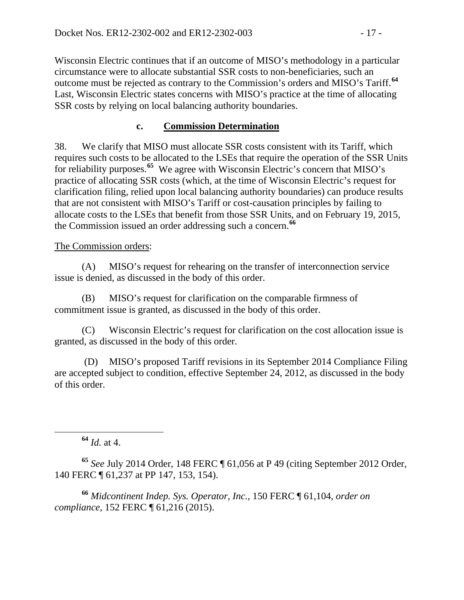Wisconsin Electric continues that if an outcome of MISO's methodology in a particular circumstance were to allocate substantial SSR costs to non-beneficiaries, such an outcome must be rejected as contrary to the Commission's orders and MISO's Tariff.**[64](#page-16-0)** Last, Wisconsin Electric states concerns with MISO's practice at the time of allocating SSR costs by relying on local balancing authority boundaries.

### **c. Commission Determination**

38. We clarify that MISO must allocate SSR costs consistent with its Tariff, which requires such costs to be allocated to the LSEs that require the operation of the SSR Units for reliability purposes.**[65](#page-16-1)** We agree with Wisconsin Electric's concern that MISO's practice of allocating SSR costs (which, at the time of Wisconsin Electric's request for clarification filing, relied upon local balancing authority boundaries) can produce results that are not consistent with MISO's Tariff or cost-causation principles by failing to allocate costs to the LSEs that benefit from those SSR Units, and on February 19, 2015, the Commission issued an order addressing such a concern.**[66](#page-16-2)**

#### The Commission orders:

(A) MISO's request for rehearing on the transfer of interconnection service issue is denied, as discussed in the body of this order.

(B) MISO's request for clarification on the comparable firmness of commitment issue is granted, as discussed in the body of this order.

(C) Wisconsin Electric's request for clarification on the cost allocation issue is granted, as discussed in the body of this order.

(D) MISO's proposed Tariff revisions in its September 2014 Compliance Filing are accepted subject to condition, effective September 24, 2012, as discussed in the body of this order.

**<sup>64</sup>** *Id.* at 4.

<span id="page-16-1"></span><span id="page-16-0"></span>**<sup>65</sup>** *See* July 2014 Order, 148 FERC ¶ 61,056 at P 49 (citing September 2012 Order, 140 FERC ¶ 61,237 at PP 147, 153, 154).

<span id="page-16-2"></span>**<sup>66</sup>** *Midcontinent Indep. Sys. Operator, Inc.*, 150 FERC ¶ 61,104, *order on compliance*, 152 FERC ¶ 61,216 (2015).